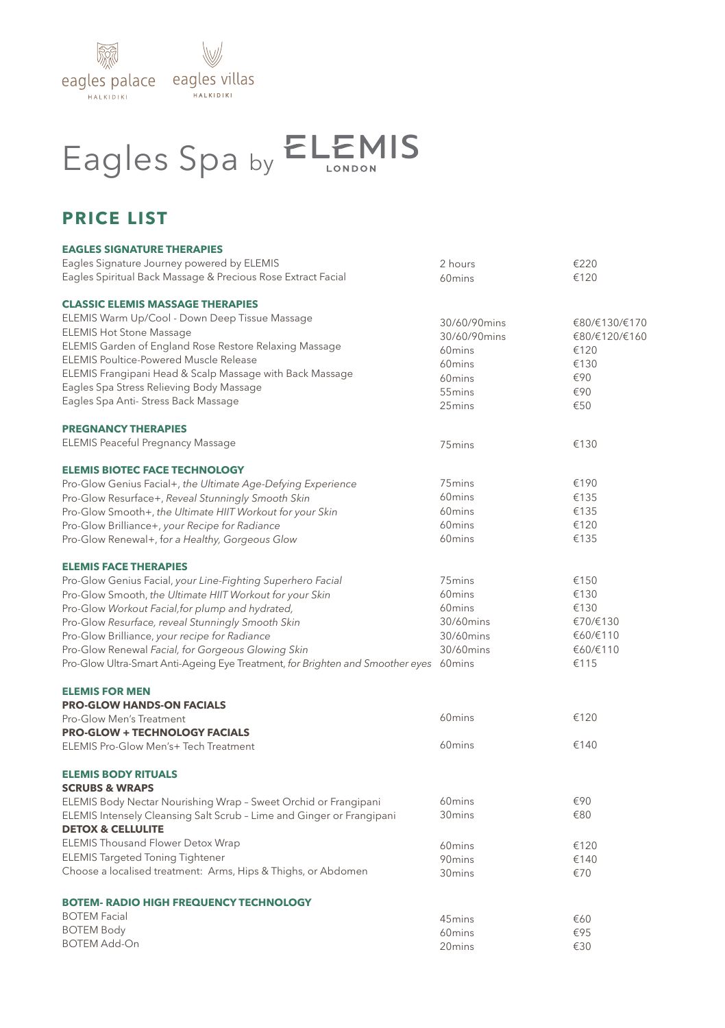

## Eagles Spa by ELEMIS

## **PRICE LIST**

| <b>EAGLES SIGNATURE THERAPIES</b>                                                     |                    |               |
|---------------------------------------------------------------------------------------|--------------------|---------------|
| Eagles Signature Journey powered by ELEMIS                                            | 2 hours            | €220          |
| Eagles Spiritual Back Massage & Precious Rose Extract Facial                          | 60 <sub>mins</sub> | €120          |
| <b>CLASSIC ELEMIS MASSAGE THERAPIES</b>                                               |                    |               |
| ELEMIS Warm Up/Cool - Down Deep Tissue Massage                                        | 30/60/90mins       | €80/€130/€170 |
| <b>ELEMIS Hot Stone Massage</b>                                                       | 30/60/90mins       | €80/€120/€160 |
| ELEMIS Garden of England Rose Restore Relaxing Massage                                | 60 <sub>mins</sub> | €120          |
| ELEMIS Poultice-Powered Muscle Release                                                | 60mins             | €130          |
| ELEMIS Frangipani Head & Scalp Massage with Back Massage                              | 60mins             | €90           |
| Eagles Spa Stress Relieving Body Massage                                              | 55mins             | €90           |
| Eagles Spa Anti- Stress Back Massage                                                  | 25mins             | €50           |
| <b>PREGNANCY THERAPIES</b>                                                            |                    |               |
| <b>ELEMIS Peaceful Pregnancy Massage</b>                                              | 75 <sub>mins</sub> | €130          |
| <b>ELEMIS BIOTEC FACE TECHNOLOGY</b>                                                  |                    |               |
| Pro-Glow Genius Facial+, the Ultimate Age-Defying Experience                          | 75 <sub>mins</sub> | €190          |
| Pro-Glow Resurface+, Reveal Stunningly Smooth Skin                                    | 60mins             | €135          |
| Pro-Glow Smooth+, the Ultimate HIIT Workout for your Skin                             | 60 <sub>mins</sub> | €135          |
| Pro-Glow Brilliance+, your Recipe for Radiance                                        | 60 <sub>mins</sub> | €120          |
| Pro-Glow Renewal+, for a Healthy, Gorgeous Glow                                       | 60mins             | €135          |
| <b>ELEMIS FACE THERAPIES</b>                                                          |                    |               |
| Pro-Glow Genius Facial, your Line-Fighting Superhero Facial                           | 75 <sub>mins</sub> | €150          |
| Pro-Glow Smooth, the Ultimate HIIT Workout for your Skin                              | 60 <sub>mins</sub> | €130          |
| Pro-Glow Workout Facial, for plump and hydrated,                                      | 60mins             | €130          |
| Pro-Glow Resurface, reveal Stunningly Smooth Skin                                     | 30/60mins          | €70/€130      |
| Pro-Glow Brilliance, your recipe for Radiance                                         | 30/60mins          | €60/€110      |
| Pro-Glow Renewal Facial, for Gorgeous Glowing Skin                                    | 30/60mins          | €60/€110      |
| Pro-Glow Ultra-Smart Anti-Ageing Eye Treatment, for Brighten and Smoother eyes 60mins |                    | €115          |
| <b>ELEMIS FOR MEN</b>                                                                 |                    |               |
| <b>PRO-GLOW HANDS-ON FACIALS</b>                                                      |                    |               |
| Pro-Glow Men's Treatment                                                              | 60 <sub>mins</sub> | €120          |
| <b>PRO-GLOW + TECHNOLOGY FACIALS</b>                                                  |                    |               |
| ELEMIS Pro-Glow Men's+ Tech Treatment                                                 | 60 <sub>mins</sub> | €140          |
| <b>ELEMIS BODY RITUALS</b>                                                            |                    |               |
| <b>SCRUBS &amp; WRAPS</b>                                                             |                    |               |
| ELEMIS Body Nectar Nourishing Wrap - Sweet Orchid or Frangipani                       | 60mins             | €90           |
| ELEMIS Intensely Cleansing Salt Scrub - Lime and Ginger or Frangipani                 | 30 <sub>mins</sub> | €80           |
| <b>DETOX &amp; CELLULITE</b>                                                          |                    |               |
| ELEMIS Thousand Flower Detox Wrap                                                     | 60mins             | €120          |
| <b>ELEMIS Targeted Toning Tightener</b>                                               | 90mins             | €140          |
| Choose a localised treatment: Arms, Hips & Thighs, or Abdomen                         | 30mins             | €70           |
| <b>BOTEM- RADIO HIGH FREQUENCY TECHNOLOGY</b>                                         |                    |               |
| <b>BOTEM Facial</b>                                                                   | 45mins             | €60           |
| <b>BOTEM Body</b>                                                                     | 60 <sub>mins</sub> | €95           |
| <b>BOTEM Add-On</b>                                                                   | 20 <sub>mins</sub> | €30           |